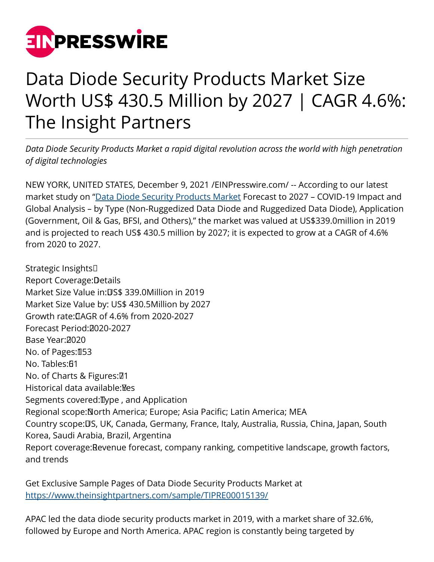

## Data Diode Security Products Market Size Worth US\$ 430.5 Million by 2027 | CAGR 4.6%: The Insight Partners

*Data Diode Security Products Market a rapid digital revolution across the world with high penetration of digital technologies*

NEW YORK, UNITED STATES, December 9, 2021 /[EINPresswire.com](http://www.einpresswire.com)/ -- According to our latest market study on "[Data Diode Security Products Market](https://www.theinsightpartners.com/sample/TIPRE00015139/) Forecast to 2027 – COVID-19 Impact and Global Analysis – by Type (Non-Ruggedized Data Diode and Ruggedized Data Diode), Application (Government, Oil & Gas, BFSI, and Others)," the market was valued at US\$339.0million in 2019 and is projected to reach US\$ 430.5 million by 2027; it is expected to grow at a CAGR of 4.6% from 2020 to 2027.

Strategic Insights Report Coverage: Details Market Size Value in: US\$ 339.0Million in 2019 Market Size Value by: US\$ 430.5Million by 2027 Growth rate: CAGR of 4.6% from 2020-2027 Forecast Period: 2020-2027 Base Year: 2020 No. of Pages: 053 No. Tables: 61 No. of Charts & Figures: 01 Historical data available: Mes Segments covered: Ilype, and Application Regional scope: North America; Europe; Asia Pacific; Latin America; MEA Country scope: US, UK, Canada, Germany, France, Italy, Australia, Russia, China, Japan, South Korea, Saudi Arabia, Brazil, Argentina Report coverage: Revenue forecast, company ranking, competitive landscape, growth factors, and trends

Get Exclusive Sample Pages of Data Diode Security Products Market at [https://www.theinsightpartners.com/sample/TIPRE00015139/](https://www.theinsightpartners.com/sample/TIPRE00015139/?utm_source=EINPressWire&utm_medium=10196)

APAC led the data diode security products market in 2019, with a market share of 32.6%, followed by Europe and North America. APAC region is constantly being targeted by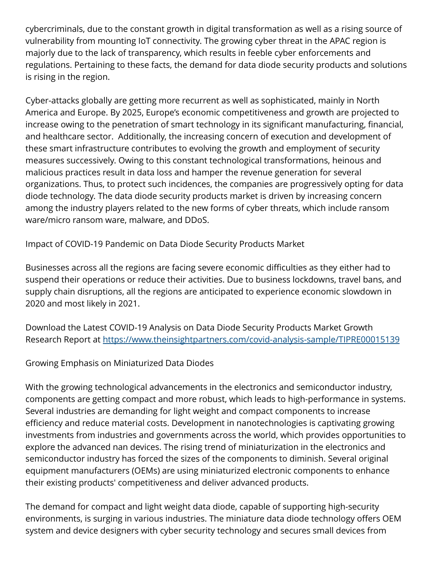cybercriminals, due to the constant growth in digital transformation as well as a rising source of vulnerability from mounting IoT connectivity. The growing cyber threat in the APAC region is majorly due to the lack of transparency, which results in feeble cyber enforcements and regulations. Pertaining to these facts, the demand for data diode security products and solutions is rising in the region.

Cyber-attacks globally are getting more recurrent as well as sophisticated, mainly in North America and Europe. By 2025, Europe's economic competitiveness and growth are projected to increase owing to the penetration of smart technology in its significant manufacturing, financial, and healthcare sector. Additionally, the increasing concern of execution and development of these smart infrastructure contributes to evolving the growth and employment of security measures successively. Owing to this constant technological transformations, heinous and malicious practices result in data loss and hamper the revenue generation for several organizations. Thus, to protect such incidences, the companies are progressively opting for data diode technology. The data diode security products market is driven by increasing concern among the industry players related to the new forms of cyber threats, which include ransom ware/micro ransom ware, malware, and DDoS.

Impact of COVID-19 Pandemic on Data Diode Security Products Market

Businesses across all the regions are facing severe economic difficulties as they either had to suspend their operations or reduce their activities. Due to business lockdowns, travel bans, and supply chain disruptions, all the regions are anticipated to experience economic slowdown in 2020 and most likely in 2021.

Download the Latest COVID-19 Analysis on Data Diode Security Products Market Growth Research Report at<https://www.theinsightpartners.com/covid-analysis-sample/TIPRE00015139>

Growing Emphasis on Miniaturized Data Diodes

With the growing technological advancements in the electronics and semiconductor industry, components are getting compact and more robust, which leads to high-performance in systems. Several industries are demanding for light weight and compact components to increase efficiency and reduce material costs. Development in nanotechnologies is captivating growing investments from industries and governments across the world, which provides opportunities to explore the advanced nan devices. The rising trend of miniaturization in the electronics and semiconductor industry has forced the sizes of the components to diminish. Several original equipment manufacturers (OEMs) are using miniaturized electronic components to enhance their existing products' competitiveness and deliver advanced products.

The demand for compact and light weight data diode, capable of supporting high-security environments, is surging in various industries. The miniature data diode technology offers OEM system and device designers with cyber security technology and secures small devices from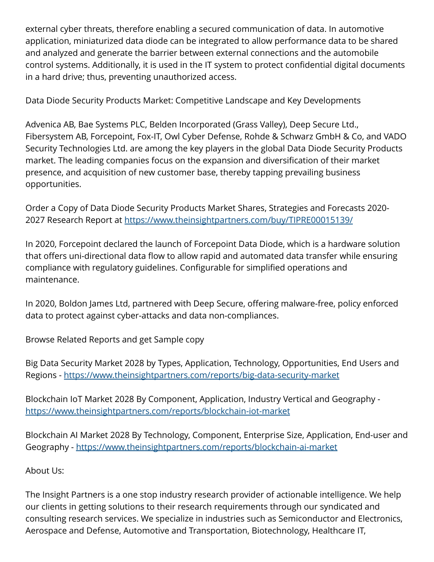external cyber threats, therefore enabling a secured communication of data. In automotive application, miniaturized data diode can be integrated to allow performance data to be shared and analyzed and generate the barrier between external connections and the automobile control systems. Additionally, it is used in the IT system to protect confidential digital documents in a hard drive; thus, preventing unauthorized access.

Data Diode Security Products Market: Competitive Landscape and Key Developments

Advenica AB, Bae Systems PLC, Belden Incorporated (Grass Valley), Deep Secure Ltd., Fibersystem AB, Forcepoint, Fox-IT, Owl Cyber Defense, Rohde & Schwarz GmbH & Co, and VADO Security Technologies Ltd. are among the key players in the global Data Diode Security Products market. The leading companies focus on the expansion and diversification of their market presence, and acquisition of new customer base, thereby tapping prevailing business opportunities.

Order a Copy of Data Diode Security Products Market Shares, Strategies and Forecasts 2020- 2027 Research Report at [https://www.theinsightpartners.com/buy/TIPRE00015139/](https://www.theinsightpartners.com/buy/TIPRE00015139/?utm_source=EINPressWire&utm_medium=10196)

In 2020, Forcepoint declared the launch of Forcepoint Data Diode, which is a hardware solution that offers uni-directional data flow to allow rapid and automated data transfer while ensuring compliance with regulatory guidelines. Configurable for simplified operations and maintenance.

In 2020, Boldon James Ltd, partnered with Deep Secure, offering malware-free, policy enforced data to protect against cyber-attacks and data non-compliances.

Browse Related Reports and get Sample copy

Big Data Security Market 2028 by Types, Application, Technology, Opportunities, End Users and Regions -<https://www.theinsightpartners.com/reports/big-data-security-market>

Blockchain IoT Market 2028 By Component, Application, Industry Vertical and Geography <https://www.theinsightpartners.com/reports/blockchain-iot-market>

Blockchain AI Market 2028 By Technology, Component, Enterprise Size, Application, End-user and Geography -<https://www.theinsightpartners.com/reports/blockchain-ai-market>

About Us:

The Insight Partners is a one stop industry research provider of actionable intelligence. We help our clients in getting solutions to their research requirements through our syndicated and consulting research services. We specialize in industries such as Semiconductor and Electronics, Aerospace and Defense, Automotive and Transportation, Biotechnology, Healthcare IT,